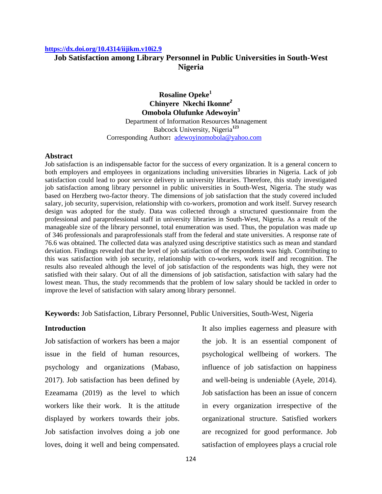#### **<https://dx.doi.org/10.4314/iijikm.v10i2.9>**

# **Job Satisfaction among Library Personnel in Public Universities in South-West Nigeria**

**Rosaline Opeke<sup>1</sup> Chinyere Nkechi Ikonne***<sup>2</sup>* **Omobola Olufunke Adewoyin<sup>3</sup>** Department of Information Resources Management Babcock University, Nigeria**<sup>123</sup>** Corresponding Author**:** [adewoyinomobola@yahoo.com](mailto:adewoyinomobola@yahoo.com)

#### **Abstract**

Job satisfaction is an indispensable factor for the success of every organization. It is a general concern to both employers and employees in organizations including universities libraries in Nigeria. Lack of job satisfaction could lead to poor service delivery in university libraries. Therefore, this study investigated job satisfaction among library personnel in public universities in South-West, Nigeria. The study was based on Herzberg two-factor theory. The dimensions of job satisfaction that the study covered included salary, job security, supervision, relationship with co-workers, promotion and work itself. Survey research design was adopted for the study. Data was collected through a structured questionnaire from the professional and paraprofessional staff in university libraries in South-West, Nigeria. As a result of the manageable size of the library personnel, total enumeration was used. Thus, the population was made up of 346 professionals and paraprofessionals staff from the federal and state universities. A response rate of 76.6 was obtained. The collected data was analyzed using descriptive statistics such as mean and standard deviation. Findings revealed that the level of job satisfaction of the respondents was high. Contributing to this was satisfaction with job security, relationship with co-workers, work itself and recognition. The results also revealed although the level of job satisfaction of the respondents was high, they were not satisfied with their salary. Out of all the dimensions of job satisfaction, satisfaction with salary had the lowest mean. Thus, the study recommends that the problem of low salary should be tackled in order to improve the level of satisfaction with salary among library personnel.

### **Keywords:** Job Satisfaction, Library Personnel, Public Universities, South-West, Nigeria

#### **Introduction**

Job satisfaction of workers has been a major issue in the field of human resources, psychology and organizations (Mabaso, 2017). Job satisfaction has been defined by Ezeamama (2019) as the level to which workers like their work. It is the attitude displayed by workers towards their jobs. Job satisfaction involves doing a job one loves, doing it well and being compensated.

It also implies eagerness and pleasure with the job. It is an essential component of psychological wellbeing of workers. The influence of job satisfaction on happiness and well-being is undeniable (Ayele, 2014). Job satisfaction has been an issue of concern in every organization irrespective of the organizational structure. Satisfied workers are recognized for good performance. Job satisfaction of employees plays a crucial role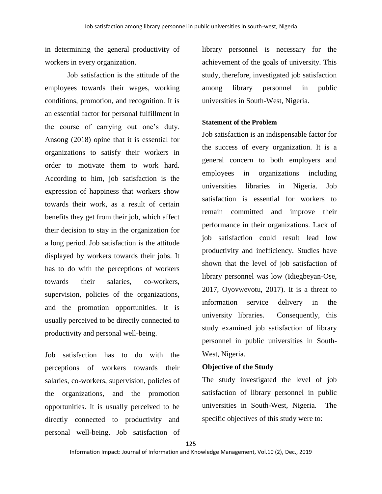in determining the general productivity of workers in every organization.

Job satisfaction is the attitude of the employees towards their wages, working conditions, promotion, and recognition. It is an essential factor for personal fulfillment in the course of carrying out one's duty. Ansong (2018) opine that it is essential for organizations to satisfy their workers in order to motivate them to work hard. According to him, job satisfaction is the expression of happiness that workers show towards their work, as a result of certain benefits they get from their job, which affect their decision to stay in the organization for a long period. Job satisfaction is the attitude displayed by workers towards their jobs. It has to do with the perceptions of workers towards their salaries, co-workers, supervision, policies of the organizations, and the promotion opportunities. It is usually perceived to be directly connected to productivity and personal well-being.

Job satisfaction has to do with the perceptions of workers towards their salaries, co-workers, supervision, policies of the organizations, and the promotion opportunities. It is usually perceived to be directly connected to productivity and personal well-being. Job satisfaction of

library personnel is necessary for the achievement of the goals of university. This study, therefore, investigated job satisfaction among library personnel in public universities in South-West, Nigeria.

#### **Statement of the Problem**

Job satisfaction is an indispensable factor for the success of every organization. It is a general concern to both employers and employees in organizations including universities libraries in Nigeria. Job satisfaction is essential for workers to remain committed and improve their performance in their organizations. Lack of job satisfaction could result lead low productivity and inefficiency. Studies have shown that the level of job satisfaction of library personnel was low (Idiegbeyan-Ose, 2017, Oyovwevotu, 2017). It is a threat to information service delivery in the university libraries. Consequently, this study examined job satisfaction of library personnel in public universities in South-West, Nigeria.

### **Objective of the Study**

The study investigated the level of job satisfaction of library personnel in public universities in South-West, Nigeria. The specific objectives of this study were to:

125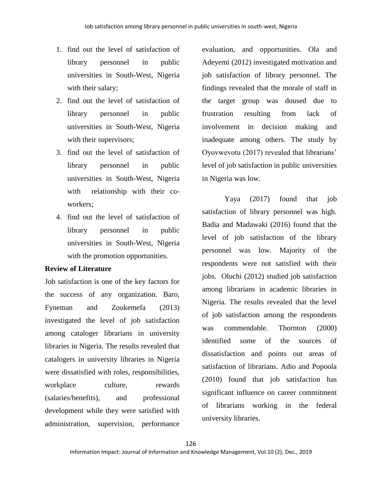- 1. find out the level of satisfaction of library personnel in public universities in South-West, Nigeria with their salary;
- 2. find out the level of satisfaction of library personnel in public universities in South-West, Nigeria with their supervisors;
- 3. find out the level of satisfaction of library personnel in public universities in South-West, Nigeria with relationship with their coworkers;
- 4. find out the level of satisfaction of library personnel in public universities in South-West, Nigeria with the promotion opportunities.

# **Review of Literature**

Job satisfaction is one of the key factors for the success of any organization. Baro, Fyneman and Zoukemefa (2013) investigated the level of job satisfaction among cataloger librarians in university libraries in Nigeria. The results revealed that catalogers in university libraries in Nigeria were dissatisfied with roles, responsibilities, workplace culture, rewards (salaries/benefits), and professional development while they were satisfied with administration, supervision, performance

evaluation, and opportunities. Ola and Adeyemi (2012) investigated motivation and job satisfaction of library personnel. The findings revealed that the morale of staff in the target group was doused due to frustration resulting from lack of involvement in decision making and inadequate among others. The study by Oyovwevotu (2017) revealed that librarians' level of job satisfaction in public universities in Nigeria was low.

Yaya (2017) found that job satisfaction of library personnel was high. Badia and Madawaki (2016) found that the level of job satisfaction of the library personnel was low. Majority of the respondents were not satisfied with their jobs. Oluchi (2012) studied job satisfaction among librarians in academic libraries in Nigeria. The results revealed that the level of job satisfaction among the respondents was commendable. Thornton (2000) identified some of the sources of dissatisfaction and points out areas of satisfaction of librarians. Adio and Popoola (2010) found that job satisfaction has significant influence on career commitment of librarians working in the federal university libraries.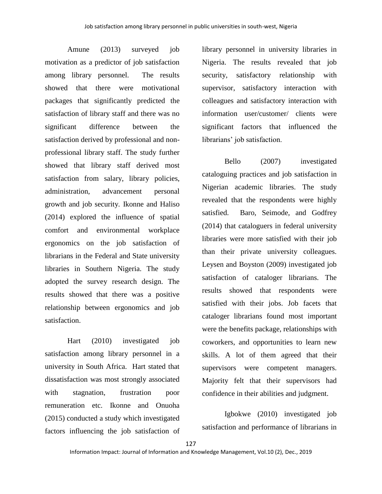Amune (2013) surveyed job motivation as a predictor of job satisfaction among library personnel. The results showed that there were motivational packages that significantly predicted the satisfaction of library staff and there was no significant difference between the satisfaction derived by professional and nonprofessional library staff. The study further showed that library staff derived most satisfaction from salary, library policies, administration, advancement personal growth and job security*.* Ikonne and Haliso (2014) explored the influence of spatial comfort and environmental workplace ergonomics on the job satisfaction of librarians in the Federal and State university libraries in Southern Nigeria. The study adopted the survey research design. The results showed that there was a positive relationship between ergonomics and job satisfaction.

Hart (2010) investigated job satisfaction among library personnel in a university in South Africa. Hart stated that dissatisfaction was most strongly associated with stagnation, frustration poor remuneration etc. Ikonne and Onuoha (2015) conducted a study which investigated factors influencing the job satisfaction of

library personnel in university libraries in Nigeria. The results revealed that job security, satisfactory relationship with supervisor, satisfactory interaction with colleagues and satisfactory interaction with information user/customer/ clients were significant factors that influenced the librarians' job satisfaction.

Bello (2007) investigated cataloguing practices and job satisfaction in Nigerian academic libraries. The study revealed that the respondents were highly satisfied. Baro, Seimode, and Godfrey (2014) that cataloguers in federal university libraries were more satisfied with their job than their private university colleagues. Leysen and Boyston (2009) investigated job satisfaction of cataloger librarians. The results showed that respondents were satisfied with their jobs. Job facets that cataloger librarians found most important were the benefits package, relationships with coworkers, and opportunities to learn new skills. A lot of them agreed that their supervisors were competent managers. Majority felt that their supervisors had confidence in their abilities and judgment.

Igbokwe (2010) investigated job satisfaction and performance of librarians in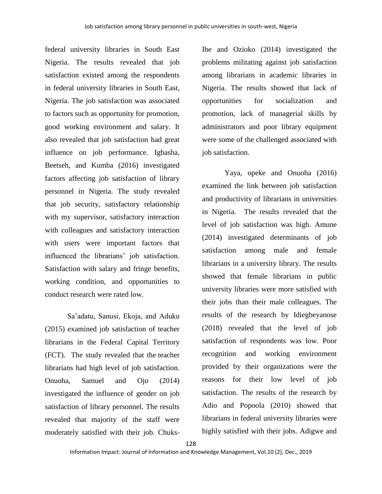federal university libraries in South East Nigeria. The results revealed that job satisfaction existed among the respondents in federal university libraries in South East, Nigeria. The job satisfaction was associated to factors such as opportunity for promotion, good working environment and salary. It also revealed that job satisfaction had great influence on job performance. Igbasha, Beetseh, and Kumba (2016) investigated factors affecting job satisfaction of library personnel in Nigeria. The study revealed that job security, satisfactory relationship with my supervisor, satisfactory interaction with colleagues and satisfactory interaction with users were important factors that influenced the librarians' job satisfaction. Satisfaction with salary and fringe benefits, working condition, and opportunities to conduct research were rated low.

Sa'adatu, Sanusi, Ekoja, and Aduku (2015) examined job satisfaction of teacher librarians in the Federal Capital Territory (FCT). The study revealed that the teacher librarians had high level of job satisfaction. Onuoha, Samuel and Ojo (2014) investigated the influence of gender on job satisfaction of library personnel. The results revealed that majority of the staff were moderately satisfied with their job. Chuks-

Ibe and Ozioko (2014) investigated the problems militating against job satisfaction among librarians in academic libraries in Nigeria. The results showed that lack of opportunities for socialization and promotion, lack of managerial skills by administrators and poor library equipment were some of the challenged associated with job satisfaction.

Yaya, opeke and Onuoha (2016) examined the link between job satisfaction and productivity of librarians in universities in Nigeria. The results revealed that the level of job satisfaction was high. Amune (2014) investigated determinants of job satisfaction among male and female librarians in a university library. The results showed that female librarians in public university libraries were more satisfied with their jobs than their male colleagues. The results of the research by Idiegbeyanose (2018) revealed that the level of job satisfaction of respondents was low. Poor recognition and working environment provided by their organizations were the reasons for their low level of job satisfaction. The results of the research by Adio and Popoola (2010) showed that librarians in federal university libraries were highly satisfied with their jobs. Adigwe and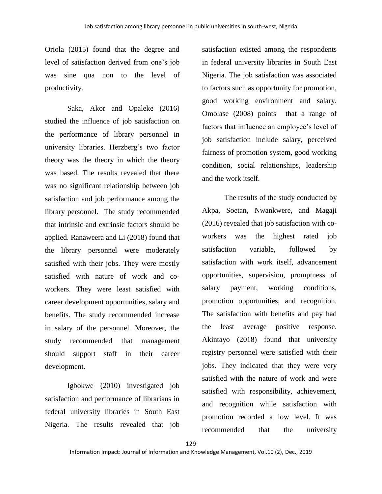Oriola (2015) found that the degree and level of satisfaction derived from one's job was sine qua non to the level of productivity.

Saka, Akor and Opaleke (2016) studied the influence of job satisfaction on the performance of library personnel in university libraries. Herzberg's two factor theory was the theory in which the theory was based. The results revealed that there was no significant relationship between job satisfaction and job performance among the library personnel. The study recommended that intrinsic and extrinsic factors should be applied. Ranaweera and Li (2018) found that the library personnel were moderately satisfied with their jobs. They were mostly satisfied with nature of work and coworkers. They were least satisfied with career development opportunities, salary and benefits. The study recommended increase in salary of the personnel. Moreover, the study recommended that management should support staff in their career development.

Igbokwe (2010) investigated job satisfaction and performance of librarians in federal university libraries in South East Nigeria. The results revealed that job

satisfaction existed among the respondents in federal university libraries in South East Nigeria. The job satisfaction was associated to factors such as opportunity for promotion, good working environment and salary. Omolase (2008) points that a range of factors that influence an employee's level of job satisfaction include salary, perceived fairness of promotion system, good working condition, social relationships, leadership and the work itself.

The results of the study conducted by Akpa, Soetan, Nwankwere, and Magaji (2016) revealed that job satisfaction with coworkers was the highest rated job satisfaction variable, followed by satisfaction with work itself, advancement opportunities, supervision, promptness of salary payment, working conditions, promotion opportunities, and recognition. The satisfaction with benefits and pay had the least average positive response. Akintayo (2018) found that university registry personnel were satisfied with their jobs. They indicated that they were very satisfied with the nature of work and were satisfied with responsibility, achievement, and recognition while satisfaction with promotion recorded a low level. It was recommended that the university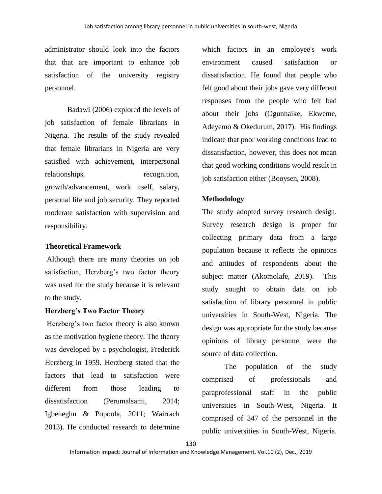administrator should look into the factors that that are important to enhance job satisfaction of the university registry personnel.

Badawi (2006) explored the levels of job satisfaction of female librarians in Nigeria. The results of the study revealed that female librarians in Nigeria are very satisfied with achievement, interpersonal relationships, recognition, growth/advancement, work itself, salary, personal life and job security. They reported moderate satisfaction with supervision and responsibility.

# **Theoretical Framework**

Although there are many theories on job satisfaction, Herzberg's two factor theory was used for the study because it is relevant to the study.

# **Herzberg's Two Factor Theory**

Herzberg's two factor theory is also known as the motivation hygiene theory. The theory was developed by a psychologist, Frederick Herzberg in 1959. Herzberg stated that the factors that lead to satisfaction were different from those leading to dissatisfaction (Perumalsami, 2014; Igbeneghu & Popoola, 2011; Wairrach 2013). He conducted research to determine

which factors in an employee's work environment caused satisfaction or dissatisfaction. He found that people who felt good about their jobs gave very different responses from the people who felt bad about their jobs (Ogunnaike, Ekweme, Adeyemo & Okedurum, 2017). His findings indicate that poor working conditions lead to dissatisfaction, however, this does not mean that good working conditions would result in job satisfaction either (Booysen, 2008).

# **Methodology**

The study adopted survey research design. Survey research design is proper for collecting primary data from a large population because it reflects the opinions and attitudes of respondents about the subject matter (Akomolafe, 2019). This study sought to obtain data on job satisfaction of library personnel in public universities in South-West, Nigeria. The design was appropriate for the study because opinions of library personnel were the source of data collection.

The population of the study comprised of professionals and paraprofessional staff in the public universities in South-West, Nigeria. It comprised of 347 of the personnel in the public universities in South-West, Nigeria.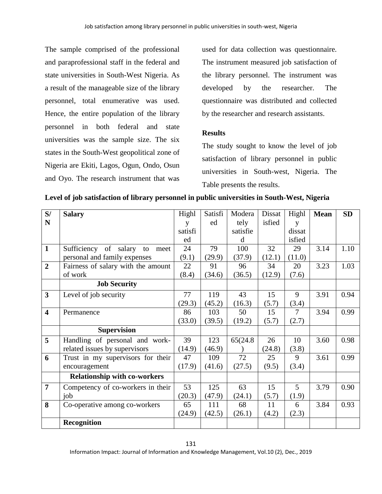The sample comprised of the professional and paraprofessional staff in the federal and state universities in South-West Nigeria. As a result of the manageable size of the library personnel, total enumerative was used. Hence, the entire population of the library personnel in both federal and state universities was the sample size. The six states in the South-West geopolitical zone of Nigeria are Ekiti, Lagos, Ogun, Ondo, Osun and Oyo. The research instrument that was

used for data collection was questionnaire. The instrument measured job satisfaction of the library personnel. The instrument was developed by the researcher. The questionnaire was distributed and collected by the researcher and research assistants.

# **Results**

The study sought to know the level of job satisfaction of library personnel in public universities in South-west, Nigeria. The Table presents the results.

| S/                      | <b>Salary</b>                       | Highl   | Satisfi | Modera   | Dissat | Highl          | <b>Mean</b> | <b>SD</b> |
|-------------------------|-------------------------------------|---------|---------|----------|--------|----------------|-------------|-----------|
| N                       |                                     | y       | ed      | tely     | isfied | y              |             |           |
|                         |                                     | satisfi |         | satisfie |        | dissat         |             |           |
|                         |                                     | ed      |         | d        |        | isfied         |             |           |
| $\mathbf{1}$            | Sufficiency of salary to<br>meet    | 24      | 79      | 100      | 32     | 29             | 3.14        | 1.10      |
|                         | personal and family expenses        | (9.1)   | (29.9)  | (37.9)   | (12.1) | (11.0)         |             |           |
| $\overline{2}$          | Fairness of salary with the amount  | 22      | 91      | 96       | 34     | 20             | 3.23        | 1.03      |
|                         | of work                             | (8.4)   | (34.6)  | (36.5)   | (12.9) | (7.6)          |             |           |
|                         | <b>Job Security</b>                 |         |         |          |        |                |             |           |
| 3                       | Level of job security               | 77      | 119     | 43       | 15     | 9              | 3.91        | 0.94      |
|                         |                                     | (29.3)  | (45.2)  | (16.3)   | (5.7)  | (3.4)          |             |           |
| $\overline{\mathbf{4}}$ | Permanence                          | 86      | 103     | 50       | 15     | 7              | 3.94        | 0.99      |
|                         |                                     | (33.0)  | (39.5)  | (19.2)   | (5.7)  | (2.7)          |             |           |
|                         | <b>Supervision</b>                  |         |         |          |        |                |             |           |
| 5                       | Handling of personal and work-      | 39      | 123     | 65(24.8) | 26     | 10             | 3.60        | 0.98      |
|                         | related issues by supervisors       | (14.9)  | (46.9)  |          | (24.8) | (3.8)          |             |           |
| 6                       | Trust in my supervisors for their   | 47      | 109     | 72       | 25     | 9              | 3.61        | 0.99      |
|                         | encouragement                       | (17.9)  | (41.6)  | (27.5)   | (9.5)  | (3.4)          |             |           |
|                         | <b>Relationship with co-workers</b> |         |         |          |        |                |             |           |
| $\overline{7}$          | Competency of co-workers in their   | 53      | 125     | 63       | 15     | $\overline{5}$ | 3.79        | 0.90      |
|                         | job                                 | (20.3)  | (47.9)  | (24.1)   | (5.7)  | (1.9)          |             |           |
| 8                       | Co-operative among co-workers       | 65      | 111     | 68       | 11     | 6              | 3.84        | 0.93      |
|                         |                                     | (24.9)  | (42.5)  | (26.1)   | (4.2)  | (2.3)          |             |           |
|                         | <b>Recognition</b>                  |         |         |          |        |                |             |           |

**Level of job satisfaction of library personnel in public universities in South-West, Nigeria**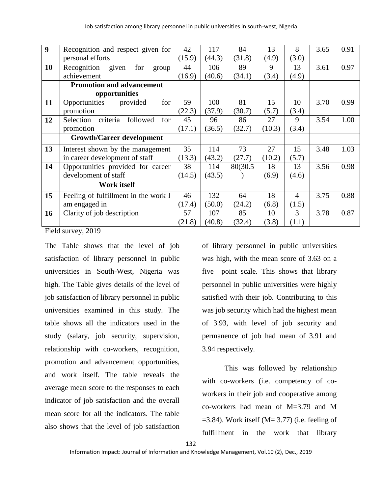| $\boldsymbol{9}$ |                                          |        |        |          |        |                |      |      |
|------------------|------------------------------------------|--------|--------|----------|--------|----------------|------|------|
|                  | Recognition and respect given for        | 42     | 117    | 84       | 13     | 8              | 3.65 | 0.91 |
|                  | personal efforts                         | (15.9) | (44.3) | (31.8)   | (4.9)  | (3.0)          |      |      |
| 10               | Recognition<br>given<br>for<br>group     | 44     | 106    | 89       | 9      | 13             | 3.61 | 0.97 |
|                  | achievement                              | (16.9) | (40.6) | (34.1)   | (3.4)  | (4.9)          |      |      |
|                  | <b>Promotion and advancement</b>         |        |        |          |        |                |      |      |
|                  | opportunities                            |        |        |          |        |                |      |      |
| 11               | Opportunities<br>provided<br>for         | 59     | 100    | 81       | 15     | 10             | 3.70 | 0.99 |
|                  | promotion                                | (22.3) | (37.9) | (30.7)   | (5.7)  | (3.4)          |      |      |
| 12               | criteria<br>Selection<br>followed<br>for | 45     | 96     | 86       | 27     | 9              | 3.54 | 1.00 |
|                  | promotion                                | (17.1) | (36.5) | (32.7)   | (10.3) | (3.4)          |      |      |
|                  | <b>Growth/Career development</b>         |        |        |          |        |                |      |      |
| 13               | Interest shown by the management         | 35     | 114    | 73       | 27     | 15             | 3.48 | 1.03 |
|                  | in career development of staff           | (13.3) | (43.2) | (27.7)   | (10.2) | (5.7)          |      |      |
| 14               | Opportunities provided for career        | 38     | 114    | 80(30.5) | 18     | 13             | 3.56 | 0.98 |
|                  | development of staff                     | (14.5) | (43.5) |          | (6.9)  | (4.6)          |      |      |
|                  | Work itself                              |        |        |          |        |                |      |      |
| 15               | Feeling of fulfillment in the work I     | 46     | 132    | 64       | 18     | $\overline{4}$ | 3.75 | 0.88 |
|                  | am engaged in                            | (17.4) | (50.0) | (24.2)   | (6.8)  | (1.5)          |      |      |
| 16               | Clarity of job description               | 57     | 107    | 85       | 10     | 3              | 3.78 | 0.87 |
|                  |                                          | (21.8) | (40.8) | (32.4)   | (3.8)  | (1.1)          |      |      |

Field survey, 2019

The Table shows that the level of job satisfaction of library personnel in public universities in South-West, Nigeria was high. The Table gives details of the level of job satisfaction of library personnel in public universities examined in this study. The table shows all the indicators used in the study (salary, job security, supervision, relationship with co-workers, recognition, promotion and advancement opportunities, and work itself. The table reveals the average mean score to the responses to each indicator of job satisfaction and the overall mean score for all the indicators. The table also shows that the level of job satisfaction

of library personnel in public universities was high, with the mean score of 3.63 on a five –point scale. This shows that library personnel in public universities were highly satisfied with their job. Contributing to this was job security which had the highest mean of 3.93, with level of job security and permanence of job had mean of 3.91 and 3.94 respectively.

This was followed by relationship with co-workers (i.e. competency of coworkers in their job and cooperative among co-workers had mean of M=3.79 and M  $=$  3.84). Work itself (M $=$  3.77) (i.e. feeling of fulfillment in the work that library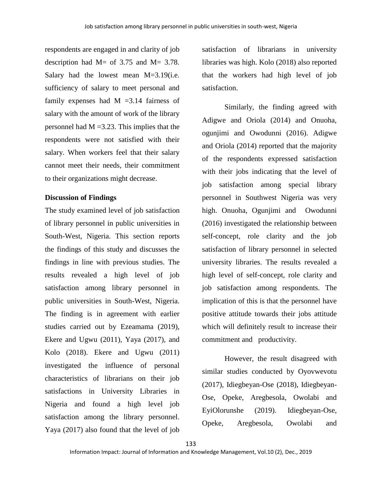respondents are engaged in and clarity of job description had M= of 3.75 and M= 3.78. Salary had the lowest mean M=3.19(i.e. sufficiency of salary to meet personal and family expenses had  $M = 3.14$  fairness of salary with the amount of work of the library personnel had  $M = 3.23$ . This implies that the respondents were not satisfied with their salary. When workers feel that their salary cannot meet their needs, their commitment to their organizations might decrease.

### **Discussion of Findings**

The study examined level of job satisfaction of library personnel in public universities in South-West, Nigeria. This section reports the findings of this study and discusses the findings in line with previous studies. The results revealed a high level of job satisfaction among library personnel in public universities in South-West, Nigeria. The finding is in agreement with earlier studies carried out by Ezeamama (2019), Ekere and Ugwu (2011), Yaya (2017), and Kolo (2018). Ekere and Ugwu (2011) investigated the influence of personal characteristics of librarians on their job satisfactions in University Libraries in Nigeria and found a high level job satisfaction among the library personnel. Yaya (2017) also found that the level of job

satisfaction of librarians in university libraries was high. Kolo (2018) also reported that the workers had high level of job satisfaction.

Similarly, the finding agreed with Adigwe and Oriola (2014) and Onuoha, ogunjimi and Owodunni (2016). Adigwe and Oriola (2014) reported that the majority of the respondents expressed satisfaction with their jobs indicating that the level of job satisfaction among special library personnel in Southwest Nigeria was very high. Onuoha, Ogunjimi and Owodunni (2016) investigated the relationship between self-concept, role clarity and the job satisfaction of library personnel in selected university libraries. The results revealed a high level of self-concept, role clarity and job satisfaction among respondents. The implication of this is that the personnel have positive attitude towards their jobs attitude which will definitely result to increase their commitment and productivity.

However, the result disagreed with similar studies conducted by Oyovwevotu (2017), Idiegbeyan-Ose (2018), Idiegbeyan-Ose, Opeke, Aregbesola, Owolabi and EyiOlorunshe (2019). Idiegbeyan-Ose, Opeke, Aregbesola, Owolabi and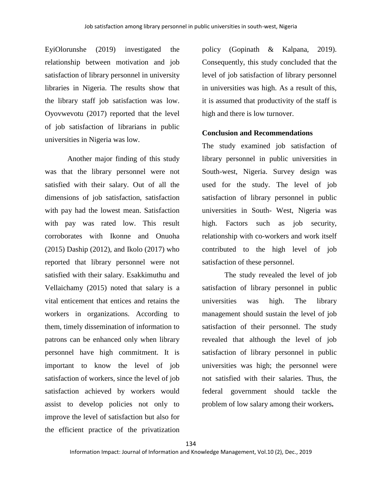EyiOlorunshe (2019) investigated the relationship between motivation and job satisfaction of library personnel in university libraries in Nigeria. The results show that the library staff job satisfaction was low. Oyovwevotu (2017) reported that the level of job satisfaction of librarians in public universities in Nigeria was low.

Another major finding of this study was that the library personnel were not satisfied with their salary. Out of all the dimensions of job satisfaction, satisfaction with pay had the lowest mean. Satisfaction with pay was rated low. This result corroborates with Ikonne and Onuoha (2015) Daship (2012), and Ikolo (2017) who reported that library personnel were not satisfied with their salary. Esakkimuthu and Vellaichamy (2015) noted that salary is a vital enticement that entices and retains the workers in organizations. According to them, timely dissemination of information to patrons can be enhanced only when library personnel have high commitment. It is important to know the level of job satisfaction of workers, since the level of job satisfaction achieved by workers would assist to develop policies not only to improve the level of satisfaction but also for the efficient practice of the privatization

policy (Gopinath & Kalpana, 2019). Consequently, this study concluded that the level of job satisfaction of library personnel in universities was high. As a result of this, it is assumed that productivity of the staff is high and there is low turnover.

### **Conclusion and Recommendations**

The study examined job satisfaction of library personnel in public universities in South-west, Nigeria. Survey design was used for the study. The level of job satisfaction of library personnel in public universities in South- West, Nigeria was high. Factors such as job security, relationship with co-workers and work itself contributed to the high level of job satisfaction of these personnel.

The study revealed the level of job satisfaction of library personnel in public universities was high. The library management should sustain the level of job satisfaction of their personnel. The study revealed that although the level of job satisfaction of library personnel in public universities was high; the personnel were not satisfied with their salaries. Thus, the federal government should tackle the problem of low salary among their workers**.**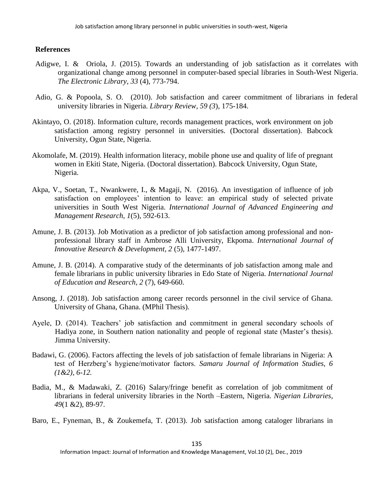## **References**

- Adigwe, I. & Oriola, J. (2015). Towards an understanding of job satisfaction as it correlates with organizational change among personnel in computer-based special libraries in South-West Nigeria. *The Electronic Library*, *33* (4), 773-794.
- Adio, G. & Popoola, S. O. (2010). Job satisfaction and career commitment of librarians in federal university libraries in Nigeria. *Library Review, 59 (3*), 175-184.
- Akintayo, O. (2018). Information culture, records management practices, work environment on job satisfaction among registry personnel in universities. (Doctoral dissertation). Babcock University, Ogun State, Nigeria.
- Akomolafe, M. (2019). Health information literacy, mobile phone use and quality of life of pregnant women in Ekiti State, Nigeria. (Doctoral dissertation). Babcock University, Ogun State, Nigeria.
- Akpa, V., Soetan, T., Nwankwere, I., & Magaji, N. (2016). An investigation of influence of job satisfaction on employees' intention to leave: an empirical study of selected private universities in South West Nigeria. *International Journal of Advanced Engineering and Management Research, 1*(5), 592-613.
- Amune, J. B. (2013). Job Motivation as a predictor of job satisfaction among professional and nonprofessional library staff in Ambrose Alli University, Ekpoma. *International Journal of Innovative Research & Development, 2* (5), 1477-1497.
- Amune, J. B. (2014). A comparative study of the determinants of job satisfaction among male and female librarians in public university libraries in Edo State of Nigeria. *International Journal of Education and Research, 2* (7), 649-660.
- Ansong, J. (2018). Job satisfaction among career records personnel in the civil service of Ghana. University of Ghana, Ghana. (MPhil Thesis).
- Ayele, D. (2014). Teachers' job satisfaction and commitment in general secondary schools of Hadiya zone, in Southern nation nationality and people of regional state (Master's thesis). Jimma University.
- Badawi, G. (2006). Factors affecting the levels of job satisfaction of female librarians in Nigeria: A test of Herzberg's hygiene/motivator factors. *Samaru Journal of Information Studies, 6 (1&2), 6-12.*
- Badia, M., & Madawaki, Z. (2016) Salary/fringe benefit as correlation of job commitment of librarians in federal university libraries in the North –Eastern, Nigeria. *Nigerian Libraries*, *49*(1 &2), 89-97.
- Baro, E., Fyneman, B., & Zoukemefa, T. (2013). Job satisfaction among cataloger librarians in

135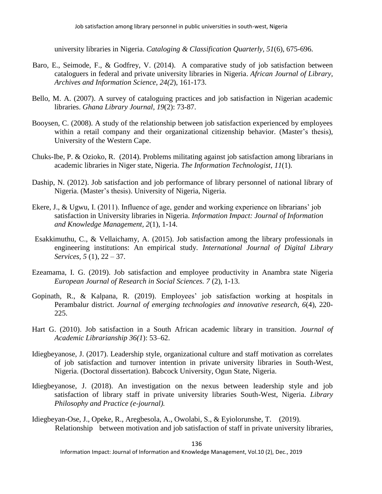university libraries in Nigeria. *Cataloging & Classification Quarterly, 51*(6), 675-696.

- Baro, E., Seimode, F., & Godfrey, V. (2014). A comparative study of job satisfaction between cataloguers in federal and private university libraries in Nigeria. *African Journal of Library, Archives and Information Science, 24(2*), 161-173.
- Bello, M. A. (2007). A survey of cataloguing practices and job satisfaction in Nigerian academic libraries. *Ghana Library Journal, 19*(2): 73-87.
- Booysen, C. (2008). A study of the relationship between job satisfaction experienced by employees within a retail company and their organizational citizenship behavior. (Master's thesis), University of the Western Cape.
- Chuks-Ibe, P. & Ozioko, R. (2014). Problems militating against job satisfaction among librarians in academic libraries in Niger state, Nigeria. *The Information Technologist, 11*(1).
- Daship, N. (2012). Job satisfaction and job performance of library personnel of national library of Nigeria. (Master's thesis). University of Nigeria, Nigeria.
- Ekere, J., & Ugwu, I. (2011). Influence of age, gender and working experience on librarians' job satisfaction in University libraries in Nigeria. *Information Impact: Journal of Information and Knowledge Management, 2*(1), 1-14.
- Esakkimuthu, C., & Vellaichamy, A. (2015). Job satisfaction among the library professionals in engineering institutions: An empirical study. *International Journal of Digital Library Services, 5* (1), 22 – 37.
- Ezeamama, I. G. (2019). Job satisfaction and employee productivity in Anambra state Nigeria *European Journal of Research in Social Sciences. 7* (2), 1-13.
- Gopinath, R., & Kalpana, R*.* (2019). Employees' job satisfaction working at hospitals in Perambalur district. *Journal of emerging technologies and innovative research, 6*(4), 220- 225.
- Hart G. (2010). Job satisfaction in a South African academic library in transition. *Journal of Academic Librarianship 36(1*): 53–62.
- Idiegbeyanose, J. (2017). Leadership style, organizational culture and staff motivation as correlates of job satisfaction and turnover intention in private university libraries in South-West, Nigeria. (Doctoral dissertation). Babcock University, Ogun State, Nigeria.
- Idiegbeyanose, J. (2018). An investigation on the nexus between leadership style and job satisfaction of library staff in private university libraries South-West, Nigeria. *Library Philosophy and Practice (e-journal).*
- Idiegbeyan-Ose, J., Opeke, R., Aregbesola, A., Owolabi, S., & Eyiolorunshe, T. (2019). Relationship between motivation and job satisfaction of staff in private university libraries,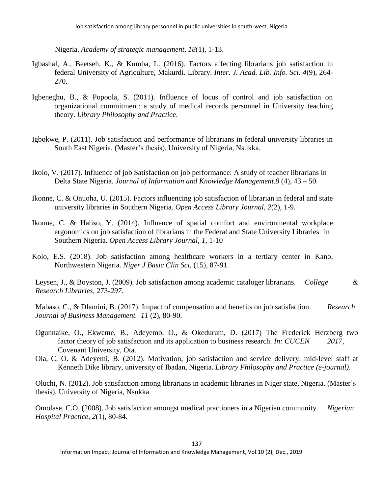Nigeria. *Academy of strategic management, 18*(1), 1-13.

- Igbashal, A., Beetseh, K., & Kumba, L. (2016). Factors affecting librarians job satisfaction in federal University of Agriculture, Makurdi. Library. *Inter. J. Acad. Lib. Info. Sci. 4*(9), 264- 270.
- Igbeneghu, B., & Popoola, S. (2011). Influence of locus of control and job satisfaction on organizational commitment: a study of medical records personnel in University teaching theory. *Library Philosophy and Practice*.
- Igbokwe, P. (2011). Job satisfaction and performance of librarians in federal university libraries in South East Nigeria. (Master's thesis). University of Nigeria, Nsukka.
- Ikolo, V. (2017). Influence of job Satisfaction on job performance: A study of teacher librarians in Delta State Nigeria. *Journal of Information and Knowledge Management.8* (4), 43 – 50.
- Ikonne, C. & Onuoha, U. (2015). Factors influencing job satisfaction of librarian in federal and state university libraries in Southern Nigeria. *Open Access Library Journal, 2*(2), 1-9.
- Ikonne, C. & Haliso, Y. (2014). Influence of spatial comfort and environmental workplace ergonomics on job satisfaction of librarians in the Federal and State University Libraries in Southern Nigeria. *Open Access Library Journal*, *1*, 1-10
- Kolo, E.S. (2018). Job satisfaction among healthcare workers in a tertiary center in Kano, Northwestern Nigeria. *Niger J Basic Clin Sci,* (15), 87-91.

Leysen, J., & Boyston, J. (2009). Job satisfaction among academic cataloger librarians. *College & Research Libraries,* 273*-297.*

Mabaso, C., & Dlamini, B. (2017). Impact of compensation and benefits on job satisfaction. *Research Journal of Business Management. 11* (2), 80-90.

- Ogunnaike, O., Ekweme, B., Adeyemo, O., & Okedurum, D. (2017) The Frederick Herzberg two factor theory of job satisfaction and its application to business research. *In: CUCEN 2017,* Covenant University, Ota.
- Ola, C. O. & Adeyemi, B. (2012). Motivation, job satisfaction and service delivery: mid-level staff at Kenneth Dike library, university of Ibadan, Nigeria. *Library Philosophy and Practice (e-journal)*.

Oluchi, N. (2012). Job satisfaction among librarians in academic libraries in Niger state, Nigeria. (Master's thesis). University of Nigeria, Nsukka.

Omolase, C.O. (2008). Job satisfaction amongst medical practioners in a Nigerian community. *Nigerian Hospital Practice, 2*(1), 80-84.